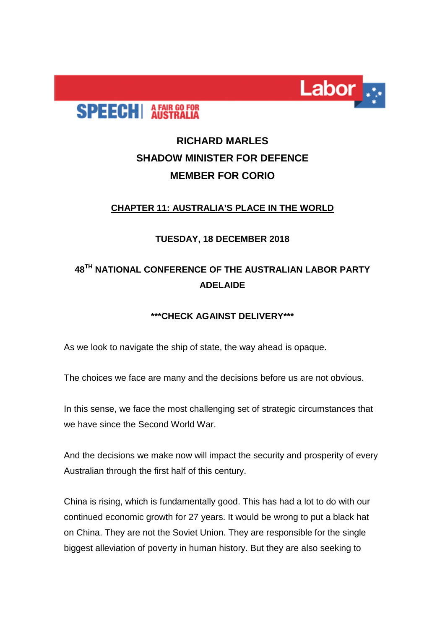

# **SPEECH** AFAIR GO FOR

## **RICHARD MARLES SHADOW MINISTER FOR DEFENCE MEMBER FOR CORIO**

#### **CHAPTER 11: AUSTRALIA'S PLACE IN THE WORLD**

#### **TUESDAY, 18 DECEMBER 2018**

### **48TH NATIONAL CONFERENCE OF THE AUSTRALIAN LABOR PARTY ADELAIDE**

### **\*\*\*CHECK AGAINST DELIVERY\*\*\***

As we look to navigate the ship of state, the way ahead is opaque.

The choices we face are many and the decisions before us are not obvious.

In this sense, we face the most challenging set of strategic circumstances that we have since the Second World War.

And the decisions we make now will impact the security and prosperity of every Australian through the first half of this century.

China is rising, which is fundamentally good. This has had a lot to do with our continued economic growth for 27 years. It would be wrong to put a black hat on China. They are not the Soviet Union. They are responsible for the single biggest alleviation of poverty in human history. But they are also seeking to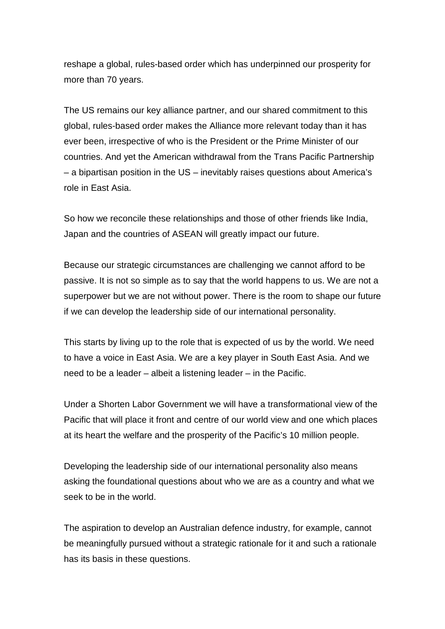reshape a global, rules-based order which has underpinned our prosperity for more than 70 years.

The US remains our key alliance partner, and our shared commitment to this global, rules-based order makes the Alliance more relevant today than it has ever been, irrespective of who is the President or the Prime Minister of our countries. And yet the American withdrawal from the Trans Pacific Partnership – a bipartisan position in the US – inevitably raises questions about America's role in East Asia.

So how we reconcile these relationships and those of other friends like India, Japan and the countries of ASEAN will greatly impact our future.

Because our strategic circumstances are challenging we cannot afford to be passive. It is not so simple as to say that the world happens to us. We are not a superpower but we are not without power. There is the room to shape our future if we can develop the leadership side of our international personality.

This starts by living up to the role that is expected of us by the world. We need to have a voice in East Asia. We are a key player in South East Asia. And we need to be a leader – albeit a listening leader – in the Pacific.

Under a Shorten Labor Government we will have a transformational view of the Pacific that will place it front and centre of our world view and one which places at its heart the welfare and the prosperity of the Pacific's 10 million people.

Developing the leadership side of our international personality also means asking the foundational questions about who we are as a country and what we seek to be in the world.

The aspiration to develop an Australian defence industry, for example, cannot be meaningfully pursued without a strategic rationale for it and such a rationale has its basis in these questions.